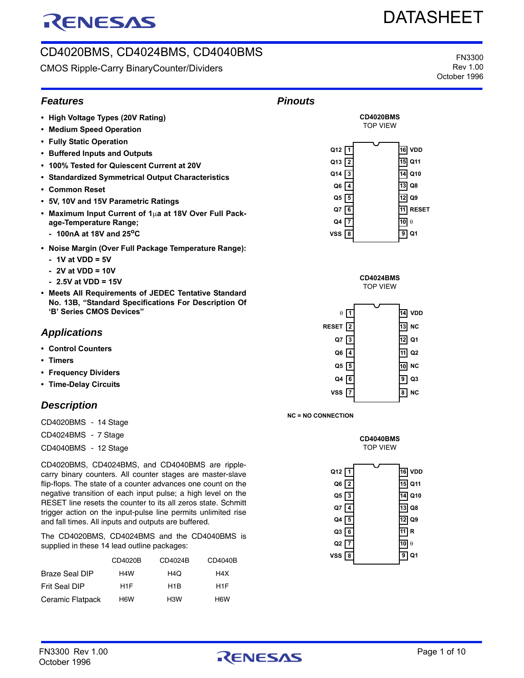# RENESAS

## CD4020BMS, CD4024BMS, CD4040BMS

CMOS Ripple-Carry BinaryCounter/Dividers

FN3300 Rev 1.00 October 1996

DATASHEET

### *Features*

- **High Voltage Types (20V Rating)**
- **Medium Speed Operation**
- **Fully Static Operation**
- **Buffered Inputs and Outputs**
- **100% Tested for Quiescent Current at 20V**
- **Standardized Symmetrical Output Characteristics**
- **Common Reset**
- **5V, 10V and 15V Parametric Ratings**
- **Maximum Input Current of 1µa at 18V Over Full Package-Temperature Range;**
	- **100nA at 18V and 25oC**
- **Noise Margin (Over Full Package Temperature Range):**
	- **1V at VDD = 5V**
	- **2V at VDD = 10V**
	- **2.5V at VDD = 15V**
- **Meets All Requirements of JEDEC Tentative Standard No. 13B, "Standard Specifications For Description Of 'B' Series CMOS Devices"**

### *Applications*

- **Control Counters**
- **Timers**
- **Frequency Dividers**
- **Time-Delay Circuits**

### *Description*

CD4020BMS - 14 Stage

- CD4024BMS 7 Stage
- CD4040BMS 12 Stage

CD4020BMS, CD4024BMS, and CD4040BMS are ripplecarry binary counters. All counter stages are master-slave flip-flops. The state of a counter advances one count on the negative transition of each input pulse; a high level on the RESET line resets the counter to its all zeros state. Schmitt trigger action on the input-pulse line permits unlimited rise and fall times. All inputs and outputs are buffered.

The CD4020BMS, CD4024BMS and the CD4040BMS is supplied in these 14 lead outline packages:

|                       | CD4020B          | CD4024B          | CD4040B          |
|-----------------------|------------------|------------------|------------------|
| <b>Braze Seal DIP</b> | H <sub>4</sub> W | H4O              | H4X              |
| Frit Seal DIP         | H <sub>1</sub> F | H <sub>1</sub> B | H <sub>1</sub> F |
| Ceramic Flatpack      | H <sub>6</sub> W | H <sub>3</sub> W | H <sub>6</sub> W |









**NC = NO CONNECTION**



| Q12 $\boxed{1}$ |                     | 16 VDD |
|-----------------|---------------------|--------|
| $Q6$ $\sqrt{2}$ |                     | 15 Q11 |
| Q5 $\sqrt{3}$   |                     | 14 Q10 |
| Q7 1            | 13 Q8               |        |
| Q4 5            | $12$ Q <sub>9</sub> |        |
| Q $3\sqrt{6}$   | 11 R                |        |
| Q2 7            | 10 $\theta$         |        |
| $VSS$ 8         | 9                   | Q1     |
|                 |                     |        |

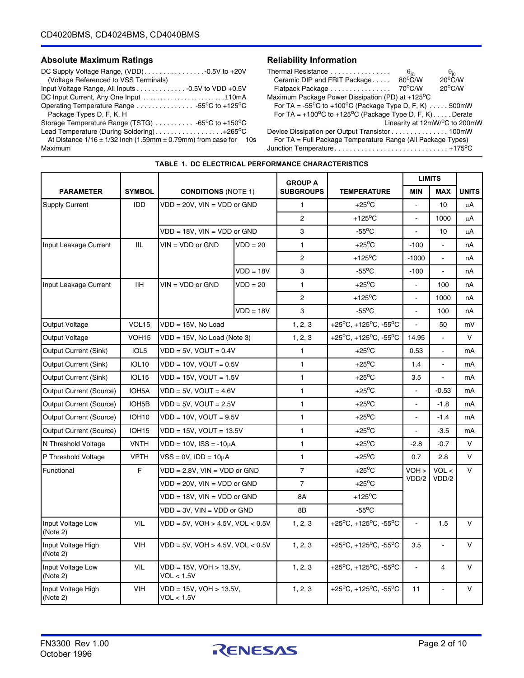### Absolute Maximum Ratings **Reliability Information**

| (Voltage Referenced to VSS Terminals)                                                                                      |
|----------------------------------------------------------------------------------------------------------------------------|
| Input Voltage Range, All Inputs 0.5V to VDD +0.5V                                                                          |
| DC Input Current, Any One Input ±10mA                                                                                      |
| Operating Temperature Range 55°C to +125°C                                                                                 |
| Package Types D, F, K, H                                                                                                   |
| Storage Temperature Range (TSTG) $\ldots \ldots \ldots \ldots$ -65 <sup>o</sup> C to +150 <sup>o</sup> C                   |
| Lead Temperature (During Soldering)+265°C                                                                                  |
| $A \cup B$ : $A \cup A$ $A \cup A$ $A \cup B$ $A \cup A$ $B \cap A$ $A \cup B$ $A \cup B$ $A \cup B$ $A \cup B$ $A \cup B$ |

At Distance  $1/16 \pm 1/32$  Inch (1.59mm  $\pm$  0.79mm) from case for 10s Maximum

| Thermal Resistance                                                          |                                                    |                                                 |
|-----------------------------------------------------------------------------|----------------------------------------------------|-------------------------------------------------|
| Ceramic DIP and FRIT Package                                                | $\frac{\theta_{\text{ja}}}{80^{\circ} \text{C/M}}$ | $\frac{\theta_{\rm jc}}{20^{\circ} \text{C/W}}$ |
| Flatpack Package                                                            | 70°C/W                                             | $20^{\circ}$ C/W                                |
| Maximum Package Power Dissipation (PD) at +125 <sup>o</sup> C               |                                                    |                                                 |
| For TA = $-55^{\circ}$ C to +100°C (Package Type D, F, K) 500mW             |                                                    |                                                 |
| For TA = $+100^{\circ}$ C to $+125^{\circ}$ C (Package Type D, F, K) Derate |                                                    |                                                 |
|                                                                             |                                                    | Linearity at 12mW/°C to 200mW                   |
| Device Dissipation per Output Transistor 100mW                              |                                                    |                                                 |
| For TA = Full Package Temperature Range (All Package Types)                 |                                                    |                                                 |

Junction Temperature . . . . . . . . . . . . . . . . . . . . . . . . . . . . . . +175oC

|                                |                    |                                          |                                | <b>GROUP A</b>   |                           |                     | <b>LIMITS</b>  |              |
|--------------------------------|--------------------|------------------------------------------|--------------------------------|------------------|---------------------------|---------------------|----------------|--------------|
| <b>PARAMETER</b>               | <b>SYMBOL</b>      | <b>CONDITIONS (NOTE 1)</b>               |                                | <b>SUBGROUPS</b> | <b>TEMPERATURE</b>        | <b>MIN</b>          | <b>MAX</b>     | <b>UNITS</b> |
| <b>Supply Current</b>          | <b>IDD</b>         | VDD = 20V, VIN = VDD or GND              |                                | 1                | $+25^{\circ}$ C           |                     | 10             | μA           |
|                                |                    |                                          |                                | $\overline{2}$   | $+125^{\circ}$ C          |                     | 1000           | μA           |
|                                |                    | VDD = 18V, VIN = VDD or GND              |                                | 3                | $-55^{\circ}$ C           | $\overline{a}$      | 10             | μA           |
| Input Leakage Current          | <b>IIL</b>         | $VIN = VDD$ or $GND$                     | $VDD = 20$                     | $\mathbf{1}$     | $+25^{\circ}$ C           | $-100$              |                | nA           |
|                                |                    |                                          |                                | 2                | +125 $\mathrm{^{\circ}C}$ | $-1000$             | $\overline{a}$ | nA           |
|                                |                    |                                          | $VDD = 18V$                    | 3                | $-55^{\circ}$ C           | $-100$              | L.             | nA           |
| Input Leakage Current          | <b>IIH</b>         | $VIN = VDD$ or $GND$                     | $VDD = 20$                     | $\mathbf{1}$     | $+25^{\circ}$ C           |                     | 100            | nA           |
|                                |                    |                                          |                                | $\overline{2}$   | $+125^{\circ}$ C          | $\overline{a}$      | 1000           | nA           |
|                                |                    |                                          | $VDD = 18V$                    | 3                | $-55^{\circ}$ C           | ä,                  | 100            | nA           |
| Output Voltage                 | VOL <sub>15</sub>  | $VDD = 15V$ . No Load                    |                                | 1, 2, 3          | +25°C, +125°C, -55°C      | $\overline{a}$      | 50             | mV           |
| <b>Output Voltage</b>          | VOH <sub>15</sub>  |                                          | $VDD = 15V$ , No Load (Note 3) |                  | +25°C, +125°C, -55°C      | 14.95               |                | $\vee$       |
| Output Current (Sink)          | IOL <sub>5</sub>   |                                          | $VDD = 5V$ , $VOUT = 0.4V$     |                  | $+25^{\circ}$ C           | 0.53                | ä,             | mA           |
| Output Current (Sink)          | <b>IOL10</b>       | $VDD = 10V$ , $VOUT = 0.5V$              |                                | $\mathbf{1}$     | $+25^{\circ}$ C           | 1.4                 | $\omega$       | mA           |
| <b>Output Current (Sink)</b>   | <b>IOL15</b>       | $VDD = 15V$ , $VOUT = 1.5V$              |                                | $\mathbf{1}$     | $+25^{\circ}$ C           | 3.5                 |                | mA           |
| <b>Output Current (Source)</b> | IOH5A              | $VDD = 5V$ , $VOUT = 4.6V$               |                                | $\mathbf{1}$     | $+25^{\circ}$ C           | $\overline{a}$      | $-0.53$        | mA           |
| Output Current (Source)        | IOH <sub>5</sub> B | $VDD = 5V$ , $VOUT = 2.5V$               |                                | $\mathbf{1}$     | $+25^{\circ}$ C           | L.                  | $-1.8$         | mA           |
| <b>Output Current (Source)</b> | IOH <sub>10</sub>  | $VDD = 10V$ , $VOUT = 9.5V$              |                                | 1                | $+25^{\circ}$ C           |                     | $-1.4$         | mA           |
| <b>Output Current (Source)</b> | <b>IOH15</b>       | $VDD = 15V$ , $VOUT = 13.5V$             |                                | 1                | $+25^{\circ}$ C           |                     | $-3.5$         | mA           |
| N Threshold Voltage            | <b>VNTH</b>        | $VDD = 10V$ , $ISS = -10\mu A$           |                                | 1                | $+25^{\circ}$ C           | $-2.8$              | $-0.7$         | V            |
| P Threshold Voltage            | <b>VPTH</b>        | $VSS = 0V$ , IDD = 10µA                  |                                | $\mathbf{1}$     | $+25^{\circ}$ C           | 0.7                 | 2.8            | V            |
| Functional                     | F                  | $VDD = 2.8V$ , $VIN = VDD$ or $GND$      |                                | $\overline{7}$   | $+25^{\circ}$ C           | VOH                 | VOL <          | V            |
|                                |                    | VDD = 20V, VIN = VDD or GND              |                                | $\overline{7}$   | $+25^{\circ}$ C           | VDD/2               | VDD/2          |              |
|                                |                    | VDD = 18V, VIN = VDD or GND              |                                | 8A               | +125 $\mathrm{^{\circ}C}$ |                     |                |              |
|                                |                    | $VDD = 3V$ , $VIN = VDD$ or $GND$        |                                | 8B               | $-55^{\circ}$ C           |                     |                |              |
| Input Voltage Low<br>(Note 2)  | VIL                | $VDD = 5V$ , $VOH > 4.5V$ , $VOL < 0.5V$ |                                | 1, 2, 3          | +25°C, +125°C, -55°C      |                     | 1.5            | $\vee$       |
| Input Voltage High<br>(Note 2) | VIH                | $VDD = 5V$ , $VOH > 4.5V$ , $VOL < 0.5V$ |                                | 1, 2, 3          | +25°C, +125°C, -55°C      | 3.5                 | L.             | $\vee$       |
| Input Voltage Low<br>(Note 2)  | <b>VIL</b>         | VDD = 15V, VOH > 13.5V,<br>VOL < 1.5V    |                                | 1, 2, 3          | +25°C, +125°C, -55°C      | $\bar{\phantom{a}}$ | $\overline{4}$ | $\vee$       |
| Input Voltage High<br>(Note 2) | <b>VIH</b>         | VDD = 15V, VOH > 13.5V,<br>VOL < 1.5V    |                                | 1, 2, 3          | +25°C, +125°C, -55°C      | 11                  | ä,             | $\vee$       |

**TABLE 1. DC ELECTRICAL PERFORMANCE CHARACTERISTICS**

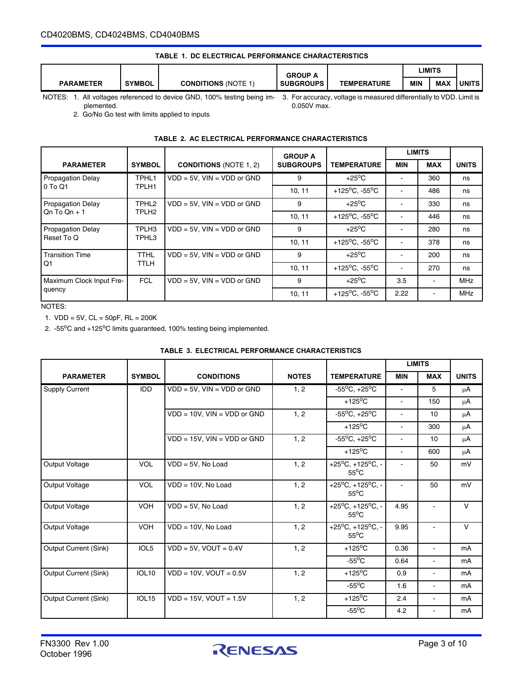#### CD4020BMS, CD4024BMS, CD4040BMS

#### **TABLE 1. DC ELECTRICAL PERFORMANCE CHARACTERISTICS**

|                                                                                                                                                                               |               |                           | <b>GROUP A</b>   |                    |            | LIMITS     |              |
|-------------------------------------------------------------------------------------------------------------------------------------------------------------------------------|---------------|---------------------------|------------------|--------------------|------------|------------|--------------|
| <b>PARAMETER</b>                                                                                                                                                              | <b>SYMBOL</b> | <b>CONDITIONS (NOTE 1</b> | <b>SUBGROUPS</b> | <b>TEMPERATURE</b> | <b>MIN</b> | <b>MAX</b> | <b>UNITS</b> |
| $N$ $\cap$ $\top$ $\cap$ $\cap$<br>Equanovante unitary in monorusal differentially to VDD. Limit in<br>All unitaria referenced to device CND 1000/ testing boing im<br>$\sim$ |               |                           |                  |                    |            |            |              |

**TABLE 2. AC ELECTRICAL PERFORMANCE CHARACTERISTICS**

plemented.

NOTES: 1. All voltages referenced to device GND, 100% testing being im- 3. For accuracy, voltage is measured differentially to VDD. Limit is 0.050V max.

2. Go/No Go test with limits applied to inputs

#### **PARAMETER** SYMBOL CONDITIONS (NOTE 1, 2) **GROUP A SUBGROUPS TEMPERATURE LIMITS MIN MAX UNITS** Propagation Delay 0 To Q1 TPHL1 TPLH1 VDD = 5V, VIN = VDD or GND  $\begin{vmatrix} 9 & | & +25^{\circ}C & | & - & | & 360 \end{vmatrix}$  ns 10, 11 +125<sup>o</sup>C, -55<sup>o</sup>C - 486 ns Propagation Delay  $Qn$  To  $Qn + 1$ TPHL2 TPLH2 VDD = 5V, VIN = VDD or GND  $\begin{vmatrix} 9 & 1 & +25^{\circ}C & -1 & -1 & 330 \end{vmatrix}$  ns 10, 11 +125<sup>o</sup>C, -55<sup>o</sup>C - 446 ns Propagation Delay Reset To Q TPLH3 TPHL3 VDD = 5V, VIN = VDD or GND  $\begin{vmatrix} 9 & 1 & +25^{\circ}C & - & 280 \\ 1 & - & 2 & - & 280 \end{vmatrix}$  ns 10, 11  $+125^{\circ}$ C,  $-55^{\circ}$ C - 378 ns Transition Time Q1 TTHL TTLH VDD = 5V, VIN = VDD or GND  $\begin{vmatrix} 9 & | & +25^{\circ}C & | & - & | & 200 \\ 9 & | & 200 & | & 200 \end{vmatrix}$  ins 10, 11 +125<sup>o</sup>C, -55<sup>o</sup>C - 270 ns Maximum Clock Input Frequency FCL  $VDD = 5V$ , VIN = VDD or GND 9 +25<sup>o</sup>C 3.5 - MHz 10, 11 | +125<sup>o</sup>C, -55<sup>o</sup>C | 2.22 | - | MHz

#### NOTES:

1.  $VDD = 5V$ ,  $CL = 50pF$ ,  $RL = 200K$ 

2. -55°C and +125°C limits guaranteed, 100% testing being implemented.

|                              |                   |                                    |              |                                                                            |                | <b>LIMITS</b>  |              |
|------------------------------|-------------------|------------------------------------|--------------|----------------------------------------------------------------------------|----------------|----------------|--------------|
| <b>PARAMETER</b>             | <b>SYMBOL</b>     | <b>CONDITIONS</b>                  | <b>NOTES</b> | <b>TEMPERATURE</b>                                                         | <b>MIN</b>     | <b>MAX</b>     | <b>UNITS</b> |
| <b>Supply Current</b>        | <b>IDD</b>        | $VDD = 5V$ , $VIN = VDD$ or GND    | 1, 2         | $-55^{\circ}C$ , $+25^{\circ}C$                                            | $\blacksquare$ | 5              | μA           |
|                              |                   |                                    |              | $+125$ <sup>o</sup> C                                                      | ÷.             | 150            | $\mu$ A      |
|                              |                   | $VDD = 10V$ , $VIN = VDD$ or $GND$ | 1, 2         | $-55^{\circ}$ C, $+25^{\circ}$ C                                           | $\sim$         | 10             | μA           |
|                              |                   |                                    |              | $+125$ <sup>o</sup> C                                                      | ۰.             | 300            | μA           |
|                              |                   | $VDD = 15V$ , $VIN = VDD$ or $GND$ | 1, 2         | $-55^{\circ}$ C, $+25^{\circ}$ C                                           | $\blacksquare$ | 10             | $\mu$ A      |
|                              |                   |                                    |              | $+125$ <sup>o</sup> C                                                      | $\blacksquare$ | 600            | μA           |
| <b>Output Voltage</b>        | <b>VOL</b>        | $VDD = 5V$ , No Load               | 1, 2         | $+25^{\circ}C$ , $+125^{\circ}C$ , -<br>$55^{\circ}$ C                     | ÷.             | 50             | mV           |
| Output Voltage               | <b>VOL</b>        | $VDD = 10V$ , No Load              | 1, 2         | +25 $^{\circ}$ C, +125 $^{\circ}$ C, -<br>$55^{\circ}$ C                   | $\sim$         | 50             | mV           |
| <b>Output Voltage</b>        | <b>VOH</b>        | $VDD = 5V$ , No Load               | 1, 2         | $+25^{\circ}$ C, $+125^{\circ}$ C, -<br>$55^{\circ}$ C                     | 4.95           | $\sim$         | $\mathsf{V}$ |
| <b>Output Voltage</b>        | <b>VOH</b>        | $VDD = 10V$ , No Load              | 1, 2         | +25 $\mathrm{^{\circ}C}$ , +125 $\mathrm{^{\circ}C}$ , -<br>$55^{\circ}$ C | 9.95           |                | $\vee$       |
| <b>Output Current (Sink)</b> | IOL <sub>5</sub>  | $VDD = 5V$ , $VOUT = 0.4V$         | 1, 2         | $+125$ <sup>o</sup> C                                                      | 0.36           | $\sim$         | mA           |
|                              |                   |                                    |              | $-55^{\circ}$ C                                                            | 0.64           | $\blacksquare$ | mA           |
| <b>Output Current (Sink)</b> | <b>IOL10</b>      | $VDD = 10V$ , $VOUT = 0.5V$        | 1, 2         | $+125$ <sup>o</sup> C                                                      | 0.9            | $\blacksquare$ | mA           |
|                              |                   |                                    |              | $-55^{\circ}$ C                                                            | 1.6            | $\blacksquare$ | mA           |
| Output Current (Sink)        | IOL <sub>15</sub> | $VDD = 15V$ , $VOUT = 1.5V$        | 1, 2         | $+125$ <sup>o</sup> C                                                      | 2.4            |                | mA           |
|                              |                   |                                    |              | $-55^{\circ}$ C                                                            | 4.2            |                | mA           |

#### **TABLE 3. ELECTRICAL PERFORMANCE CHARACTERISTICS**

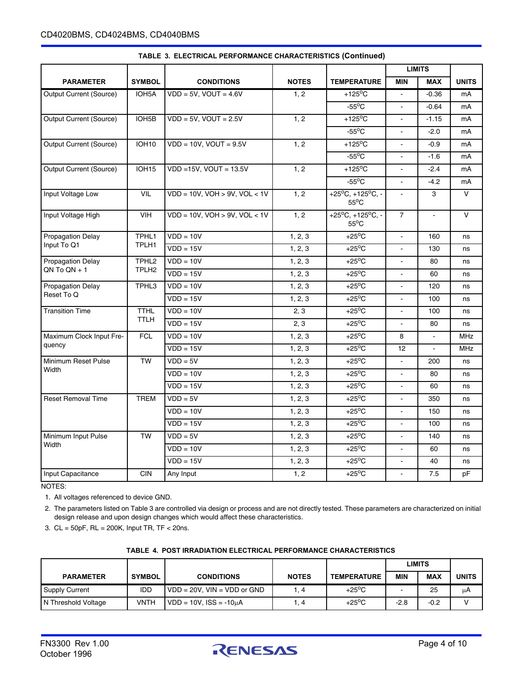|                                     |                    |                                       |                    |                                                        |                          | <b>LIMITS</b> |              |
|-------------------------------------|--------------------|---------------------------------------|--------------------|--------------------------------------------------------|--------------------------|---------------|--------------|
| <b>PARAMETER</b>                    | <b>SYMBOL</b>      | <b>CONDITIONS</b>                     | <b>NOTES</b>       | <b>TEMPERATURE</b>                                     | <b>MIN</b>               | <b>MAX</b>    | <b>UNITS</b> |
| Output Current (Source)             | IOH5A              | $VDD = 5V$ , $VOUT = 4.6V$            | 1, 2               | $+125$ <sup>o</sup> C                                  | $\blacksquare$           | $-0.36$       | mA           |
|                                     |                    |                                       |                    | $-55^{\circ}$ C                                        |                          | $-0.64$       | mA           |
| <b>Output Current (Source)</b>      | IOH <sub>5</sub> B | $VDD = 5V$ , $VOUT = 2.5V$            | 1, 2               | +125 $\mathrm{^o}\mathrm{C}$                           |                          | $-1.15$       | mA           |
|                                     |                    |                                       |                    | $-55^{\circ}$ C                                        | $\blacksquare$           | $-2.0$        | mA           |
| <b>Output Current (Source)</b>      | <b>IOH10</b>       | $VDD = 10V$ , $VOUT = 9.5V$           | 1, 2               | $+125$ <sup>o</sup> C                                  | $\overline{\phantom{a}}$ | $-0.9$        | mA           |
|                                     |                    |                                       |                    | $-55^{\circ}$ C                                        | $\overline{a}$           | $-1.6$        | mA           |
| <b>Output Current (Source)</b>      | IOH <sub>15</sub>  | $VDD = 15V$ , $VOUT = 13.5V$          | 1, 2               | $+125^{\circ}$ C                                       |                          | $-2.4$        | mA           |
|                                     |                    |                                       |                    | $-55^{\circ}$ C                                        | $\blacksquare$           | $-4.2$        | mA           |
| Input Voltage Low                   | <b>VIL</b>         | $VDD = 10V$ , $VOH > 9V$ , $VOL < 1V$ | 1, 2               | $+25^{\circ}C, +125^{\circ}C, -$<br>$55^{\circ}$ C     | $\overline{\phantom{a}}$ | 3             | V            |
| Input Voltage High                  | <b>VIH</b>         | $VDD = 10V$ , $VOH > 9V$ , $VOL < 1V$ | 1, 2               | $+25^{\circ}C$ , $+125^{\circ}C$ , -<br>$55^{\circ}$ C | $\overline{7}$           | $\mathbf{r}$  | $\vee$       |
| <b>Propagation Delay</b>            | TPHL1              | $VDD = 10V$                           | 1, 2, 3            | $+25^{\circ}$ C                                        |                          | 160           | ns           |
| Input To Q1                         | TPLH1              | $VDD = 15V$                           | 1, 2, 3            | $+25^{\circ}$ C                                        | $\blacksquare$           | 130           | ns           |
| <b>Propagation Delay</b>            | TPHL <sub>2</sub>  | $VDD = 10V$                           | 1, 2, 3            | $+25^{\circ}$ C                                        | $\blacksquare$           | 80            | ns           |
| $ON To ON + 1$<br>TPLH <sub>2</sub> | $VDD = 15V$        | 1, 2, 3                               | $+25^{\circ}$ C    | $\mathbf{r}$                                           | 60                       | ns            |              |
| <b>Propagation Delay</b>            | TPHL3              | $VDD = 10V$                           | 1, 2, 3            | $+25^{\circ}$ C                                        |                          | 120           | ns           |
| Reset To Q                          |                    | $VDD = 15V$                           | 1, 2, 3            | $+25^{\circ}$ C                                        | $\blacksquare$           | 100           | ns           |
| <b>Transition Time</b>              | <b>TTHL</b>        | $VDD = 10V$                           | 2, 3               | $+25^{\circ}$ C                                        | $\blacksquare$           | 100           | ns           |
|                                     | <b>TTLH</b>        | $VDD = 15V$                           | $\overline{2}$ , 3 | $+25^{\circ}$ C                                        | $\overline{\phantom{a}}$ | 80            | ns           |
| Maximum Clock Input Fre-            | <b>FCL</b>         | $VDD = 10V$                           | 1, 2, 3            | $+25^{\circ}$ C                                        | 8                        |               | <b>MHz</b>   |
| quency                              |                    | $VDD = 15V$                           | 1, 2, 3            | $+25^{\circ}$ C                                        | 12                       |               | <b>MHz</b>   |
| Minimum Reset Pulse                 | <b>TW</b>          | $VDD = 5V$                            | 1, 2, 3            | $+25^{\circ}$ C                                        | $\blacksquare$           | 200           | ns           |
| Width                               |                    | $VDD = 10V$                           | 1, 2, 3            | $+25^{\circ}$ C                                        | $\mathbf{r}$             | 80            | ns           |
|                                     |                    | $VDD = 15V$                           | 1, 2, 3            | $+25^{\circ}$ C                                        | $\mathbf{r}$             | 60            | ns           |
| <b>Reset Removal Time</b>           | <b>TREM</b>        | $VDD = 5V$                            | 1, 2, 3            | $+25^{\circ}$ C                                        | $\overline{a}$           | 350           | ns           |
|                                     |                    | $VDD = 10V$                           | 1, 2, 3            | $+25^{\circ}$ C                                        | $\mathbf{r}$             | 150           | ns           |
|                                     |                    | $VDD = 15V$                           | 1, 2, 3            | $+25^{\circ}$ C                                        | ä,                       | 100           | ns           |
| Minimum Input Pulse                 | <b>TW</b>          | $VDD = 5V$                            | 1, 2, 3            | $+25^{\circ}$ C                                        | $\mathbf{r}$             | 140           | ns           |
| Width                               |                    | $VDD = 10V$                           | 1, 2, 3            | $+25^{\circ}$ C                                        | $\overline{\phantom{a}}$ | 60            | ns           |
|                                     |                    | $VDD = 15V$                           | 1, 2, 3            | $+25^{\circ}$ C                                        | $\sim$                   | 40            | ns           |
| Input Capacitance                   | <b>CIN</b>         | Any Input                             | 1, 2               | $+25^{\circ}$ C                                        | $\blacksquare$           | 7.5           | pF           |

### **TABLE 3. ELECTRICAL PERFORMANCE CHARACTERISTICS (Continued)**

NOTES:

1. All voltages referenced to device GND.

2. The parameters listed on Table 3 are controlled via design or process and are not directly tested. These parameters are characterized on initial design release and upon design changes which would affect these characteristics.

3. CL = 50pF, RL = 200K, Input TR, TF < 20ns.

|                       |               |                                  |              |                    | LIMITS     |            |       |
|-----------------------|---------------|----------------------------------|--------------|--------------------|------------|------------|-------|
| <b>PARAMETER</b>      | <b>SYMBOL</b> | <b>CONDITIONS</b>                | <b>NOTES</b> | <b>TEMPERATURE</b> | <b>MIN</b> | <b>MAX</b> | UNITS |
| <b>Supply Current</b> | <b>IDD</b>    | $VDD = 20V$ . $VIN = VDD$ or GND |              | $+25^{\circ}$ C    |            | 25         | μA    |
| N Threshold Voltage   | VNTH          | $VDD = 10V$ , $ISS = -10\mu A$   | . 4          | $+25^{\circ}$ C    | $-2.8$     | $-0.2$     |       |

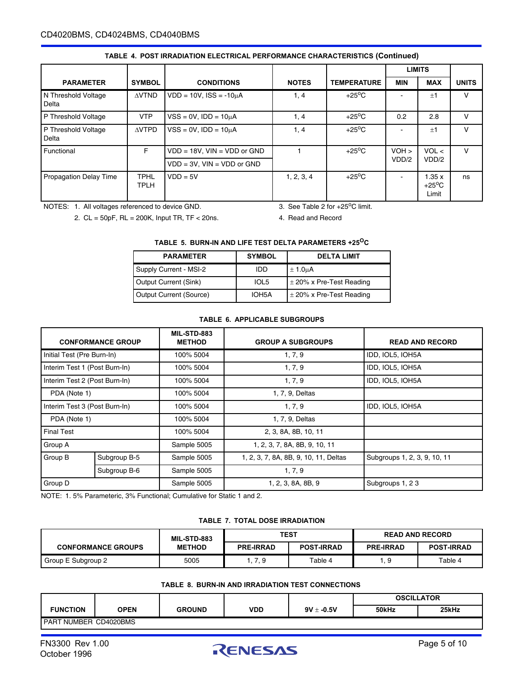### CD4020BMS, CD4024BMS, CD4040BMS

|                               |                            |                                  |              |                    |            | <b>LIMITS</b>                     |              |
|-------------------------------|----------------------------|----------------------------------|--------------|--------------------|------------|-----------------------------------|--------------|
| <b>PARAMETER</b>              | <b>SYMBOL</b>              | <b>CONDITIONS</b>                | <b>NOTES</b> | <b>TEMPERATURE</b> | <b>MIN</b> | <b>MAX</b>                        | <b>UNITS</b> |
| N Threshold Voltage<br>Delta  | <b>AVTND</b>               | $VDD = 10V$ . $ISS = -10uA$      | 1, 4         | $+25^{\circ}$ C    |            | ±1                                | v            |
| P Threshold Voltage           | <b>VTP</b>                 | $VSS = 0V$ , $IDD = 10\mu A$     | 1, 4         | $+25^{\circ}$ C    | 0.2        | 2.8                               | $\vee$       |
| P Threshold Voltage<br>Delta  | <b>AVTPD</b>               | $VSS = 0V$ , $IDD = 10\mu A$     | 1, 4         | $+25^{\circ}$ C    |            | ±1                                | v            |
| Functional                    | F.                         | $VDD = 18V$ , $VIN = VDD$ or GND |              | $+25^{\circ}$ C    | $VOH$ >    | VOL <                             | $\vee$       |
|                               |                            | $VDD = 3V$ , $VIN = VDD$ or GND  |              |                    | VDD/2      | VDD/2                             |              |
| <b>Propagation Delay Time</b> | <b>TPHL</b><br><b>TPLH</b> | $VDD = 5V$                       | 1, 2, 3, 4   | $+25^{\circ}$ C    |            | 1.35x<br>$+25^{\circ}$ C<br>Limit | ns           |

#### **TABLE 4. POST IRRADIATION ELECTRICAL PERFORMANCE CHARACTERISTICS (Continued)**

NOTES: 1. All voltages referenced to device GND.

3. See Table 2 for  $+25^{\circ}$ C limit.

2. CL = 50pF, RL = 200K, Input TR, TF < 20ns.

4. Read and Record

#### **TABLE 5. BURN-IN AND LIFE TEST DELTA PARAMETERS +25OC**

| <b>PARAMETER</b>               | <b>SYMBOL</b> | <b>DELTA LIMIT</b>           |
|--------------------------------|---------------|------------------------------|
| Supply Current - MSI-2         | IDD           | $\pm$ 1.0 $\mu$ A            |
| Output Current (Sink)          | IOL5          | $\pm$ 20% x Pre-Test Reading |
| <b>Output Current (Source)</b> | IOH5A         | $\pm$ 20% x Pre-Test Reading |

#### **TABLE 6. APPLICABLE SUBGROUPS**

| <b>CONFORMANCE GROUP</b>      |              | <b>MIL-STD-883</b><br><b>METHOD</b> | <b>GROUP A SUBGROUPS</b>              | <b>READ AND RECORD</b>       |  |
|-------------------------------|--------------|-------------------------------------|---------------------------------------|------------------------------|--|
| Initial Test (Pre Burn-In)    |              | 100% 5004                           | 1, 7, 9                               | IDD, IOL5, IOH5A             |  |
| Interim Test 1 (Post Burn-In) |              | 100% 5004                           | 1, 7, 9                               | IDD, IOL5, IOH5A             |  |
| Interim Test 2 (Post Burn-In) |              | 100% 5004                           | 1, 7, 9                               | IDD, IOL5, IOH5A             |  |
| PDA (Note 1)                  |              | 100% 5004                           | 1, 7, 9, Deltas                       |                              |  |
| Interim Test 3 (Post Burn-In) |              | 100% 5004                           | 1, 7, 9                               | IDD, IOL5, IOH5A             |  |
| PDA (Note 1)                  |              | 100% 5004                           | 1, 7, 9, Deltas                       |                              |  |
| <b>Final Test</b>             |              | 100% 5004                           | 2, 3, 8A, 8B, 10, 11                  |                              |  |
| Group A                       |              | Sample 5005                         | 1, 2, 3, 7, 8A, 8B, 9, 10, 11         |                              |  |
| Group B                       | Subgroup B-5 | Sample 5005                         | 1, 2, 3, 7, 8A, 8B, 9, 10, 11, Deltas | Subgroups 1, 2, 3, 9, 10, 11 |  |
|                               | Subgroup B-6 | Sample 5005                         | 1, 7, 9                               |                              |  |
| Group D                       |              | Sample 5005                         | 1, 2, 3, 8A, 8B, 9                    | Subgroups 1, 23              |  |

NOTE: 1. 5% Parameteric, 3% Functional; Cumulative for Static 1 and 2.

#### **TABLE 7. TOTAL DOSE IRRADIATION**

|                           | <b>MIL-STD-883</b> | TEST             |                   | <b>READ AND RECORD</b> |                   |
|---------------------------|--------------------|------------------|-------------------|------------------------|-------------------|
| <b>CONFORMANCE GROUPS</b> | <b>METHOD</b>      | <b>PRE-IRRAD</b> | <b>POST-IRRAD</b> | <b>PRE-IRRAD</b>       | <b>POST-IRRAD</b> |
| Group E Subgroup 2        | 5005               | . 7.9            | Table 4           |                        | Table 4           |

#### **TABLE 8. BURN-IN AND IRRADIATION TEST CONNECTIONS**

|                                |             |               |     |                | <b>OSCILLATOR</b> |       |  |
|--------------------------------|-------------|---------------|-----|----------------|-------------------|-------|--|
| <b>FUNCTION</b>                | <b>OPEN</b> | <b>GROUND</b> | VDD | $9V \pm -0.5V$ | 50kHz             | 25kHz |  |
| <b>I PART NUMBER CD4020BMS</b> |             |               |     |                |                   |       |  |

October 1996

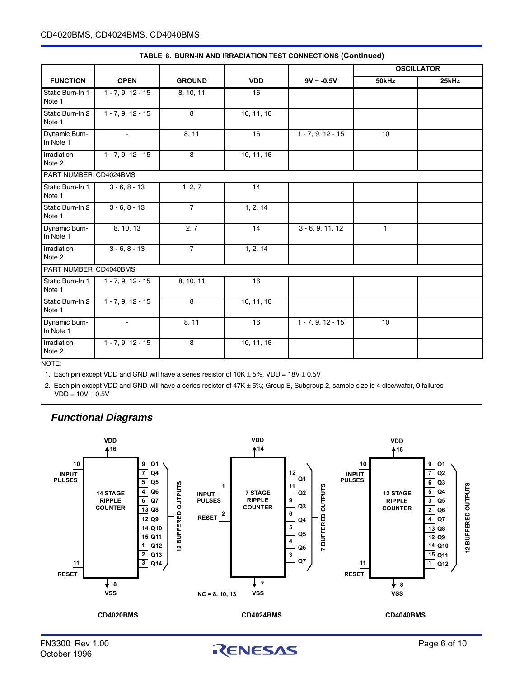|                            |                     |                |            |                     |              | <b>OSCILLATOR</b> |
|----------------------------|---------------------|----------------|------------|---------------------|--------------|-------------------|
| <b>FUNCTION</b>            | <b>OPEN</b>         | <b>GROUND</b>  | <b>VDD</b> | $9V \pm -0.5V$      | 50kHz        | 25kHz             |
| Static Burn-In 1<br>Note 1 | $1 - 7, 9, 12 - 15$ | 8, 10, 11      | 16         |                     |              |                   |
| Static Burn-In 2<br>Note 1 | $1 - 7, 9, 12 - 15$ | 8              | 10, 11, 16 |                     |              |                   |
| Dynamic Burn-<br>In Note 1 | $\blacksquare$      | 8, 11          | 16         | $1 - 7, 9, 12 - 15$ | 10           |                   |
| Irradiation<br>Note 2      | $1 - 7, 9, 12 - 15$ | 8              | 10, 11, 16 |                     |              |                   |
| PART NUMBER CD4024BMS      |                     |                |            |                     |              |                   |
| Static Burn-In 1<br>Note 1 | $3 - 6, 8 - 13$     | 1, 2, 7        | 14         |                     |              |                   |
| Static Burn-In 2<br>Note 1 | $3 - 6, 8 - 13$     | $\overline{7}$ | 1, 2, 14   |                     |              |                   |
| Dynamic Burn-<br>In Note 1 | 8, 10, 13           | 2, 7           | 14         | $3 - 6, 9, 11, 12$  | $\mathbf{1}$ |                   |
| Irradiation<br>Note 2      | $3 - 6, 8 - 13$     | $\overline{7}$ | 1, 2, 14   |                     |              |                   |
| PART NUMBER CD4040BMS      |                     |                |            |                     |              |                   |
| Static Burn-In 1<br>Note 1 | $1 - 7, 9, 12 - 15$ | 8, 10, 11      | 16         |                     |              |                   |
| Static Burn-In 2<br>Note 1 | $1 - 7, 9, 12 - 15$ | 8              | 10, 11, 16 |                     |              |                   |
| Dynamic Burn-<br>In Note 1 | $\blacksquare$      | 8, 11          | 16         | $1 - 7, 9, 12 - 15$ | 10           |                   |
| Irradiation<br>Note 2      | $1 - 7, 9, 12 - 15$ | 8              | 10, 11, 16 |                     |              |                   |

#### **TABLE 8. BURN-IN AND IRRADIATION TEST CONNECTIONS (Continued)**

NOTE:

1. Each pin except VDD and GND will have a series resistor of  $10K \pm 5\%$ , VDD =  $18V \pm 0.5V$ 

2. Each pin except VDD and GND will have a series resistor of 47K ± 5%; Group E, Subgroup 2, sample size is 4 dice/wafer, 0 failures,  $VDD = 10V \pm 0.5V$ 

### *Functional Diagrams*



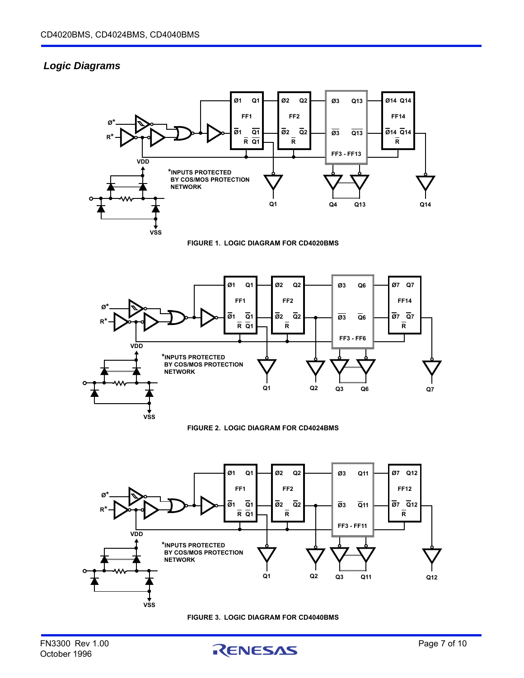### *Logic Diagrams*













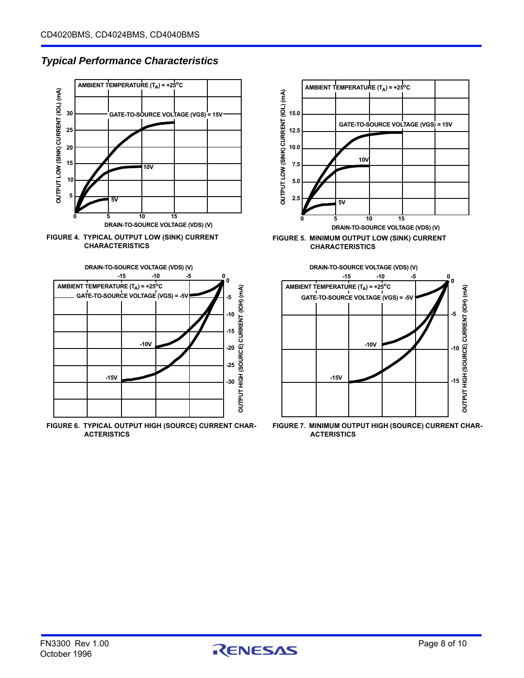### *Typical Performance Characteristics*







**FIGURE 6. TYPICAL OUTPUT HIGH (SOURCE) CURRENT CHAR-ACTERISTICS**





**FIGURE 7. MINIMUM OUTPUT HIGH (SOURCE) CURRENT CHAR-ACTERISTICS**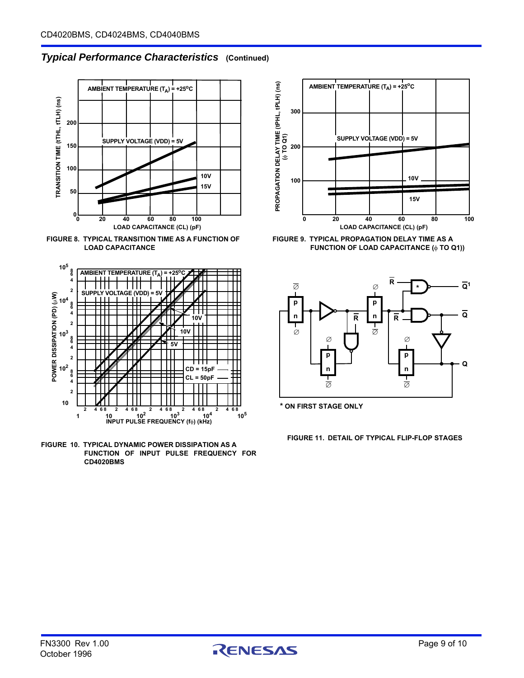### *Typical Performance Characteristics* **(Continued)**



**FIGURE 8. TYPICAL TRANSITION TIME AS A FUNCTION OF LOAD CAPACITANCE**



**FIGURE 10. TYPICAL DYNAMIC POWER DISSIPATION AS A FUNCTION OF INPUT PULSE FREQUENCY FOR CD4020BMS**



**FIGURE 9. TYPICAL PROPAGATION DELAY TIME AS A** FUNCTION OF LOAD CAPACITANCE ( $\phi$  TO Q1))



**\* ON FIRST STAGE ONLY**

**FIGURE 11. DETAIL OF TYPICAL FLIP-FLOP STAGES**